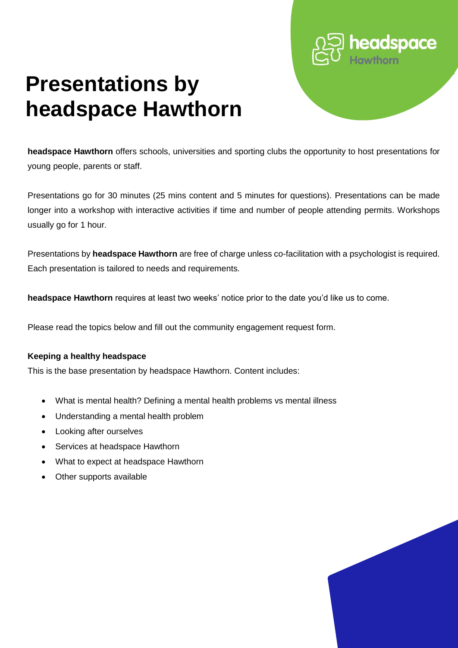# **Presentations by headspace Hawthorn**

**headspace Hawthorn** offers schools, universities and sporting clubs the opportunity to host presentations for young people, parents or staff.

Presentations go for 30 minutes (25 mins content and 5 minutes for questions). Presentations can be made longer into a workshop with interactive activities if time and number of people attending permits. Workshops usually go for 1 hour.

Presentations by **headspace Hawthorn** are free of charge unless co-facilitation with a psychologist is required. Each presentation is tailored to needs and requirements.

**headspace Hawthorn** requires at least two weeks' notice prior to the date you'd like us to come.

Please read the topics below and fill out the community engagement request form.

# **Keeping a healthy headspace**

This is the base presentation by headspace Hawthorn. Content includes:

- What is mental health? Defining a mental health problems vs mental illness
- Understanding a mental health problem
- Looking after ourselves
- Services at headspace Hawthorn
- What to expect at headspace Hawthorn
- Other supports available



headspace